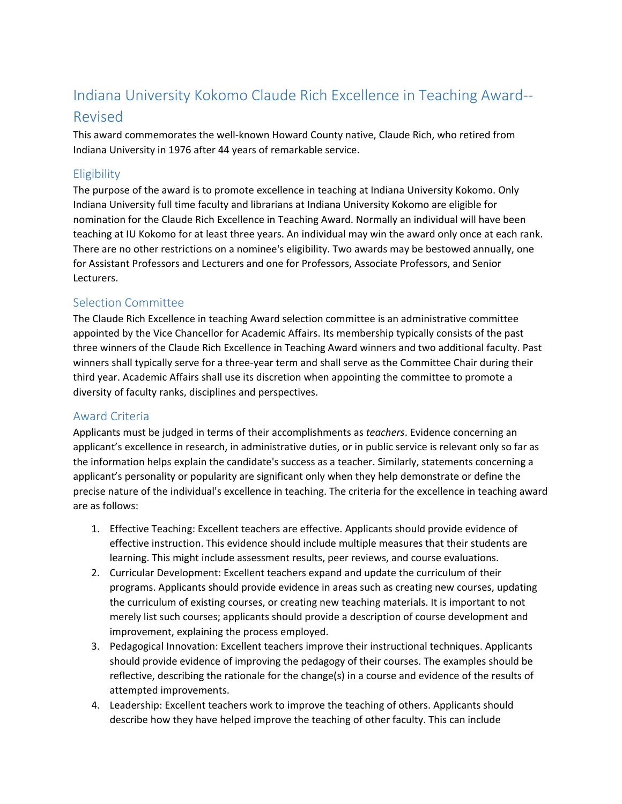# Indiana University Kokomo Claude Rich Excellence in Teaching Award-- Revised

This award commemorates the well-known Howard County native, Claude Rich, who retired from Indiana University in 1976 after 44 years of remarkable service.

## **Eligibility**

The purpose of the award is to promote excellence in teaching at Indiana University Kokomo. Only Indiana University full time faculty and librarians at Indiana University Kokomo are eligible for nomination for the Claude Rich Excellence in Teaching Award. Normally an individual will have been teaching at IU Kokomo for at least three years. An individual may win the award only once at each rank. There are no other restrictions on a nominee's eligibility. Two awards may be bestowed annually, one for Assistant Professors and Lecturers and one for Professors, Associate Professors, and Senior Lecturers.

#### Selection Committee

The Claude Rich Excellence in teaching Award selection committee is an administrative committee appointed by the Vice Chancellor for Academic Affairs. Its membership typically consists of the past three winners of the Claude Rich Excellence in Teaching Award winners and two additional faculty. Past winners shall typically serve for a three-year term and shall serve as the Committee Chair during their third year. Academic Affairs shall use its discretion when appointing the committee to promote a diversity of faculty ranks, disciplines and perspectives.

## Award Criteria

Applicants must be judged in terms of their accomplishments as *teachers*. Evidence concerning an applicant's excellence in research, in administrative duties, or in public service is relevant only so far as the information helps explain the candidate's success as a teacher. Similarly, statements concerning a applicant's personality or popularity are significant only when they help demonstrate or define the precise nature of the individual's excellence in teaching. The criteria for the excellence in teaching award are as follows:

- 1. Effective Teaching: Excellent teachers are effective. Applicants should provide evidence of effective instruction. This evidence should include multiple measures that their students are learning. This might include assessment results, peer reviews, and course evaluations.
- 2. Curricular Development: Excellent teachers expand and update the curriculum of their programs. Applicants should provide evidence in areas such as creating new courses, updating the curriculum of existing courses, or creating new teaching materials. It is important to not merely list such courses; applicants should provide a description of course development and improvement, explaining the process employed.
- 3. Pedagogical Innovation: Excellent teachers improve their instructional techniques. Applicants should provide evidence of improving the pedagogy of their courses. The examples should be reflective, describing the rationale for the change(s) in a course and evidence of the results of attempted improvements.
- 4. Leadership: Excellent teachers work to improve the teaching of others. Applicants should describe how they have helped improve the teaching of other faculty. This can include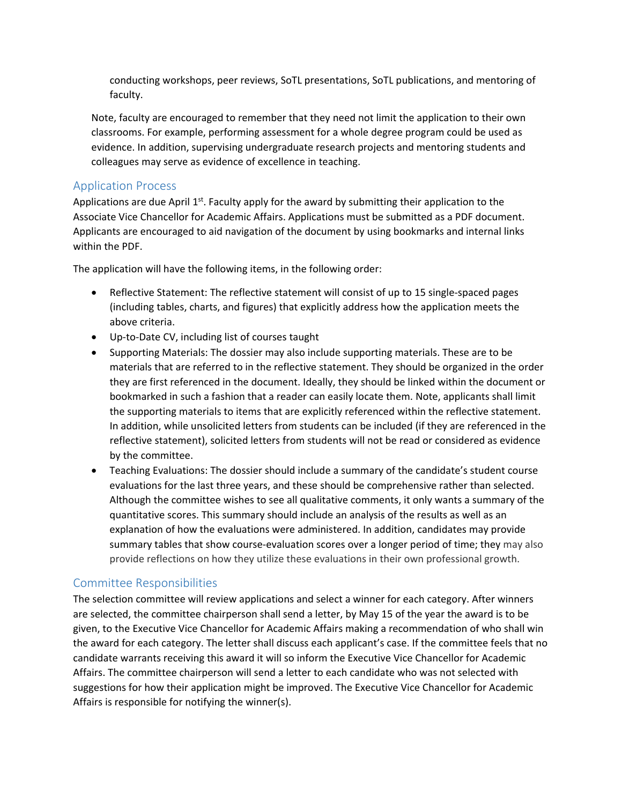conducting workshops, peer reviews, SoTL presentations, SoTL publications, and mentoring of faculty.

Note, faculty are encouraged to remember that they need not limit the application to their own classrooms. For example, performing assessment for a whole degree program could be used as evidence. In addition, supervising undergraduate research projects and mentoring students and colleagues may serve as evidence of excellence in teaching.

#### Application Process

Applications are due April  $1<sup>st</sup>$ . Faculty apply for the award by submitting their application to the Associate Vice Chancellor for Academic Affairs. Applications must be submitted as a PDF document. Applicants are encouraged to aid navigation of the document by using bookmarks and internal links within the PDF.

The application will have the following items, in the following order:

- Reflective Statement: The reflective statement will consist of up to 15 single-spaced pages (including tables, charts, and figures) that explicitly address how the application meets the above criteria.
- Up-to-Date CV, including list of courses taught
- Supporting Materials: The dossier may also include supporting materials. These are to be materials that are referred to in the reflective statement. They should be organized in the order they are first referenced in the document. Ideally, they should be linked within the document or bookmarked in such a fashion that a reader can easily locate them. Note, applicants shall limit the supporting materials to items that are explicitly referenced within the reflective statement. In addition, while unsolicited letters from students can be included (if they are referenced in the reflective statement), solicited letters from students will not be read or considered as evidence by the committee.
- Teaching Evaluations: The dossier should include a summary of the candidate's student course evaluations for the last three years, and these should be comprehensive rather than selected. Although the committee wishes to see all qualitative comments, it only wants a summary of the quantitative scores. This summary should include an analysis of the results as well as an explanation of how the evaluations were administered. In addition, candidates may provide summary tables that show course-evaluation scores over a longer period of time; they may also provide reflections on how they utilize these evaluations in their own professional growth.

#### Committee Responsibilities

The selection committee will review applications and select a winner for each category. After winners are selected, the committee chairperson shall send a letter, by May 15 of the year the award is to be given, to the Executive Vice Chancellor for Academic Affairs making a recommendation of who shall win the award for each category. The letter shall discuss each applicant's case. If the committee feels that no candidate warrants receiving this award it will so inform the Executive Vice Chancellor for Academic Affairs. The committee chairperson will send a letter to each candidate who was not selected with suggestions for how their application might be improved. The Executive Vice Chancellor for Academic Affairs is responsible for notifying the winner(s).